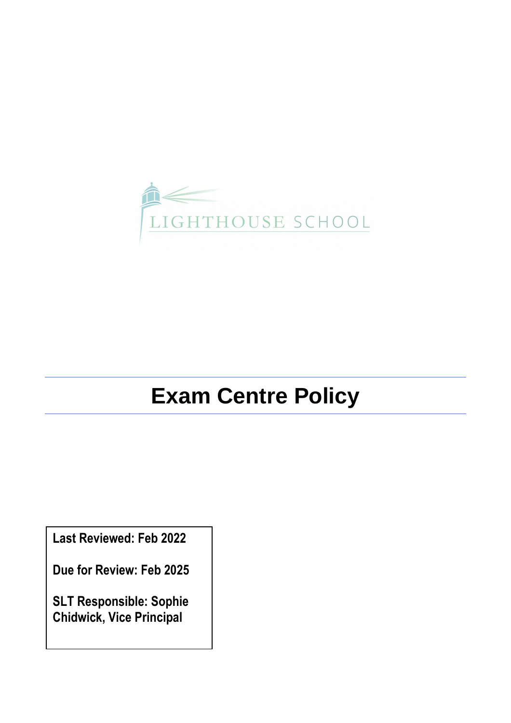

# **Exam Centre Policy**

**Last Reviewed: Feb 2022**

**Due for Review: Feb 2025**

**SLT Responsible: Sophie Chidwick, Vice Principal**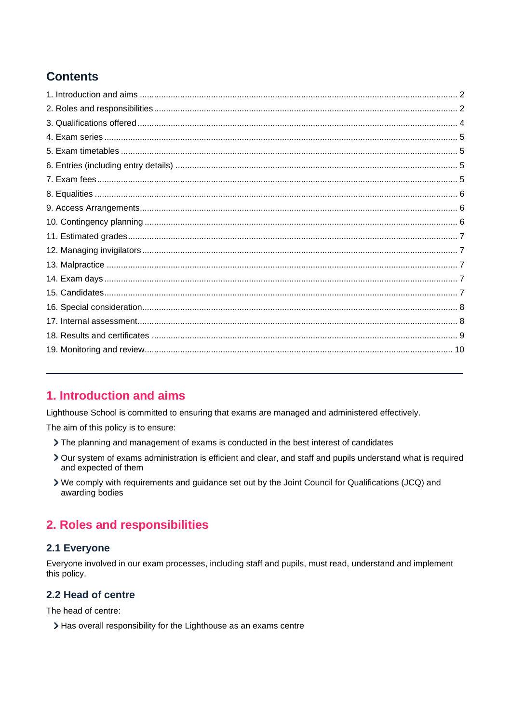# **Contents**

# <span id="page-1-0"></span>1. Introduction and aims

Lighthouse School is committed to ensuring that exams are managed and administered effectively.

The aim of this policy is to ensure:

- > The planning and management of exams is conducted in the best interest of candidates
- > Our system of exams administration is efficient and clear, and staff and pupils understand what is required and expected of them
- > We comply with requirements and guidance set out by the Joint Council for Qualifications (JCQ) and awarding bodies

# <span id="page-1-1"></span>2. Roles and responsibilities

### 2.1 Everyone

Everyone involved in our exam processes, including staff and pupils, must read, understand and implement this policy.

### 2.2 Head of centre

The head of centre:

> Has overall responsibility for the Lighthouse as an exams centre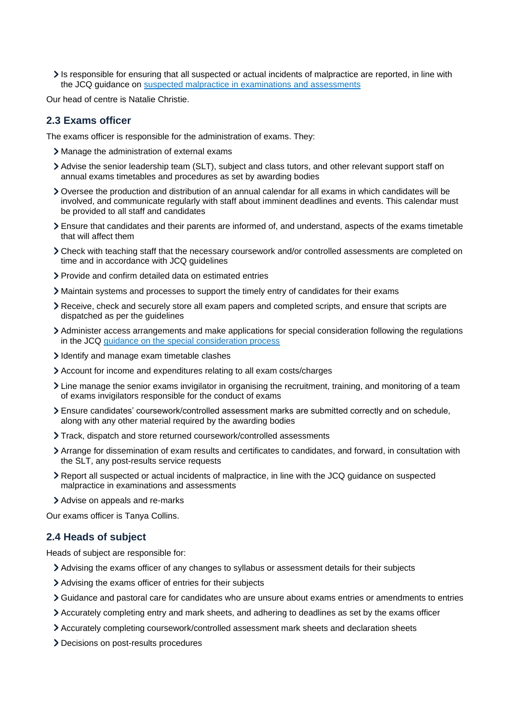Is responsible for ensuring that all suspected or actual incidents of malpractice are reported, in line with the JCQ guidance on [suspected malpractice in examinations and assessments](https://www.jcq.org.uk/exams-office/malpractice/suspected-malpractice-in-examinations-and-assessments-2018-19)

Our head of centre is Natalie Christie.

#### **2.3 Exams officer**

The exams officer is responsible for the administration of exams. They:

- Manage the administration of external exams
- Advise the senior leadership team (SLT), subject and class tutors, and other relevant support staff on annual exams timetables and procedures as set by awarding bodies
- Oversee the production and distribution of an annual calendar for all exams in which candidates will be involved, and communicate regularly with staff about imminent deadlines and events. This calendar must be provided to all staff and candidates
- Ensure that candidates and their parents are informed of, and understand, aspects of the exams timetable that will affect them
- Check with teaching staff that the necessary coursework and/or controlled assessments are completed on time and in accordance with JCQ guidelines
- Provide and confirm detailed data on estimated entries
- Maintain systems and processes to support the timely entry of candidates for their exams
- Receive, check and securely store all exam papers and completed scripts, and ensure that scripts are dispatched as per the guidelines
- Administer access arrangements and make applications for special consideration following the regulations in the JCQ [guidance on the special consideration process](https://www.jcq.org.uk/exams-office/access-arrangements-and-special-consideration/regulations-and-guidance/a-guide-to-the-special-consideration-process-2018-2019)
- I dentify and manage exam timetable clashes
- Account for income and expenditures relating to all exam costs/charges
- Line manage the senior exams invigilator in organising the recruitment, training, and monitoring of a team of exams invigilators responsible for the conduct of exams
- Ensure candidates' coursework/controlled assessment marks are submitted correctly and on schedule, along with any other material required by the awarding bodies
- Track, dispatch and store returned coursework/controlled assessments
- Arrange for dissemination of exam results and certificates to candidates, and forward, in consultation with the SLT, any post-results service requests
- Report all suspected or actual incidents of malpractice, in line with the JCQ guidance on suspected malpractice in examinations and assessments
- Advise on appeals and re-marks

Our exams officer is Tanya Collins.

#### **2.4 Heads of subject**

Heads of subject are responsible for:

- Advising the exams officer of any changes to syllabus or assessment details for their subjects
- Advising the exams officer of entries for their subjects
- Guidance and pastoral care for candidates who are unsure about exams entries or amendments to entries
- Accurately completing entry and mark sheets, and adhering to deadlines as set by the exams officer
- Accurately completing coursework/controlled assessment mark sheets and declaration sheets
- Decisions on post-results procedures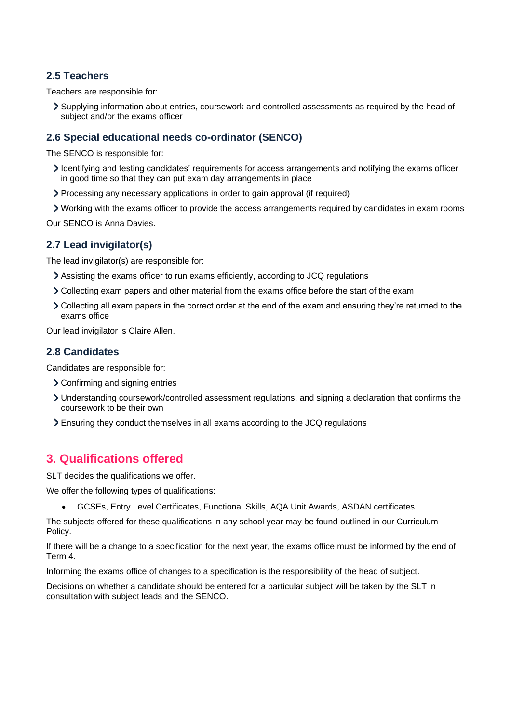### **2.5 Teachers**

Teachers are responsible for:

Supplying information about entries, coursework and controlled assessments as required by the head of subject and/or the exams officer

### **2.6 Special educational needs co-ordinator (SENCO)**

The SENCO is responsible for:

- Identifying and testing candidates' requirements for access arrangements and notifying the exams officer in good time so that they can put exam day arrangements in place
- Processing any necessary applications in order to gain approval (if required)
- Working with the exams officer to provide the access arrangements required by candidates in exam rooms

Our SENCO is Anna Davies.

### **2.7 Lead invigilator(s)**

The lead invigilator(s) are responsible for:

- Assisting the exams officer to run exams efficiently, according to JCQ regulations
- Collecting exam papers and other material from the exams office before the start of the exam
- Collecting all exam papers in the correct order at the end of the exam and ensuring they're returned to the exams office

Our lead invigilator is Claire Allen.

### **2.8 Candidates**

Candidates are responsible for:

- Confirming and signing entries
- Understanding coursework/controlled assessment regulations, and signing a declaration that confirms the coursework to be their own
- Ensuring they conduct themselves in all exams according to the JCQ regulations

# <span id="page-3-0"></span>**3. Qualifications offered**

SLT decides the qualifications we offer.

We offer the following types of qualifications:

• GCSEs, Entry Level Certificates, Functional Skills, AQA Unit Awards, ASDAN certificates

The subjects offered for these qualifications in any school year may be found outlined in our Curriculum Policy.

If there will be a change to a specification for the next year, the exams office must be informed by the end of Term 4.

Informing the exams office of changes to a specification is the responsibility of the head of subject.

Decisions on whether a candidate should be entered for a particular subject will be taken by the SLT in consultation with subject leads and the SENCO.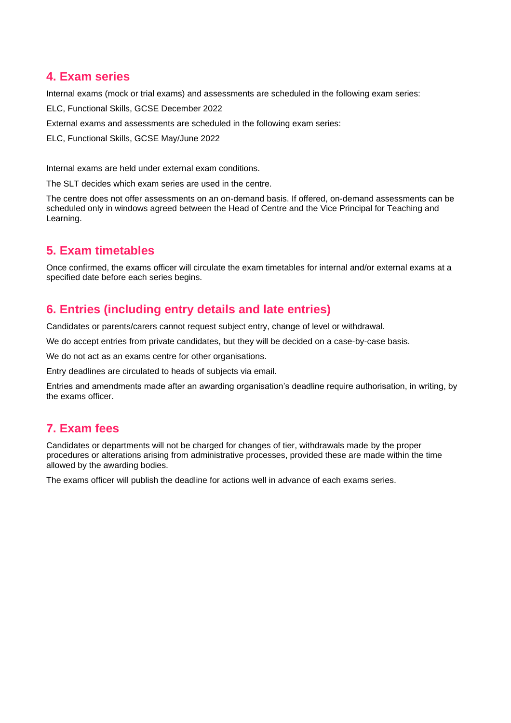# <span id="page-4-0"></span>**4. Exam series**

Internal exams (mock or trial exams) and assessments are scheduled in the following exam series:

ELC, Functional Skills, GCSE December 2022

External exams and assessments are scheduled in the following exam series:

ELC, Functional Skills, GCSE May/June 2022

Internal exams are held under external exam conditions.

The SLT decides which exam series are used in the centre.

The centre does not offer assessments on an on-demand basis. If offered, on-demand assessments can be scheduled only in windows agreed between the Head of Centre and the Vice Principal for Teaching and Learning.

# <span id="page-4-1"></span>**5. Exam timetables**

Once confirmed, the exams officer will circulate the exam timetables for internal and/or external exams at a specified date before each series begins.

## <span id="page-4-2"></span>**6. Entries (including entry details and late entries)**

Candidates or parents/carers cannot request subject entry, change of level or withdrawal.

We do accept entries from private candidates, but they will be decided on a case-by-case basis.

We do not act as an exams centre for other organisations.

Entry deadlines are circulated to heads of subjects via email.

Entries and amendments made after an awarding organisation's deadline require authorisation, in writing, by the exams officer.

# <span id="page-4-3"></span>**7. Exam fees**

Candidates or departments will not be charged for changes of tier, withdrawals made by the proper procedures or alterations arising from administrative processes, provided these are made within the time allowed by the awarding bodies.

The exams officer will publish the deadline for actions well in advance of each exams series.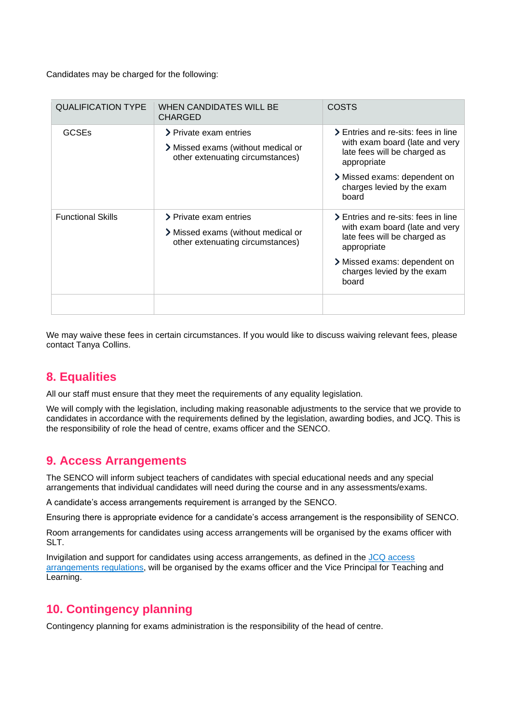Candidates may be charged for the following:

| <b>QUALIFICATION TYPE</b> | WHEN CANDIDATES WILL BE<br><b>CHARGED</b>                                                        | <b>COSTS</b>                                                                                                                                                                                |
|---------------------------|--------------------------------------------------------------------------------------------------|---------------------------------------------------------------------------------------------------------------------------------------------------------------------------------------------|
| <b>GCSEs</b>              | > Private exam entries<br>> Missed exams (without medical or<br>other extenuating circumstances) | > Entries and re-sits: fees in line<br>with exam board (late and very<br>late fees will be charged as<br>appropriate<br>> Missed exams: dependent on<br>charges levied by the exam<br>board |
| <b>Functional Skills</b>  | > Private exam entries<br>> Missed exams (without medical or<br>other extenuating circumstances) | > Entries and re-sits: fees in line<br>with exam board (late and very<br>late fees will be charged as<br>appropriate<br>> Missed exams: dependent on<br>charges levied by the exam<br>board |
|                           |                                                                                                  |                                                                                                                                                                                             |

We may waive these fees in certain circumstances. If you would like to discuss waiving relevant fees, please contact Tanya Collins.

# <span id="page-5-0"></span>**8. Equalities**

All our staff must ensure that they meet the requirements of any equality legislation.

We will comply with the legislation, including making reasonable adjustments to the service that we provide to candidates in accordance with the requirements defined by the legislation, awarding bodies, and JCQ. This is the responsibility of role the head of centre, exams officer and the SENCO.

# <span id="page-5-1"></span>**9. Access Arrangements**

The SENCO will inform subject teachers of candidates with special educational needs and any special arrangements that individual candidates will need during the course and in any assessments/exams.

A candidate's access arrangements requirement is arranged by the SENCO.

Ensuring there is appropriate evidence for a candidate's access arrangement is the responsibility of SENCO.

Room arrangements for candidates using access arrangements will be organised by the exams officer with SLT.

Invigilation and support for candidates using access arrangements, as defined in the [JCQ access](https://www.jcq.org.uk/exams-office/access-arrangements-and-special-consideration/regulations-and-guidance/access-arrangements-and-reasonable-adjustments-booklet)  [arrangements regulations,](https://www.jcq.org.uk/exams-office/access-arrangements-and-special-consideration/regulations-and-guidance/access-arrangements-and-reasonable-adjustments-booklet) will be organised by the exams officer and the Vice Principal for Teaching and Learning.

# <span id="page-5-2"></span>**10. Contingency planning**

Contingency planning for exams administration is the responsibility of the head of centre.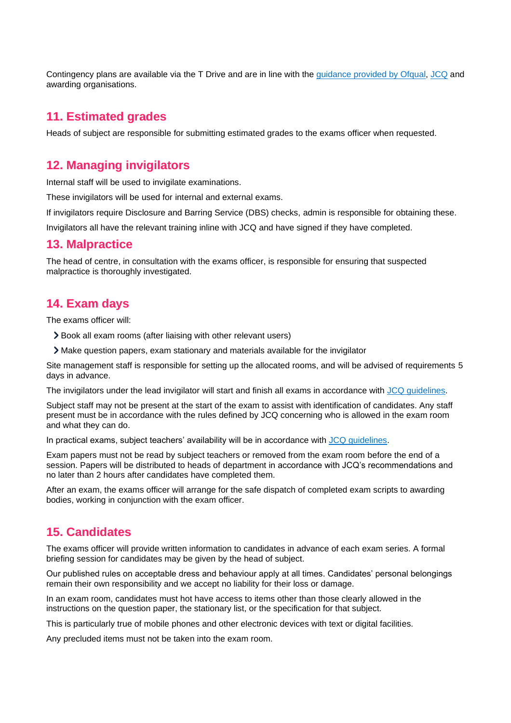Contingency plans are available via the T Drive and are in line with the [guidance provided by Ofqual,](https://www.gov.uk/government/publications/exam-system-contingency-plan-england-wales-and-northern-ireland/what-schools-and-colleges-should-do-if-exams-or-other-assessments-are-seriously-disrupted) [JCQ](https://www.jcq.org.uk/exams-office/general-regulations/notice-to-centres--exam-contingency-plan) and awarding organisations.

### <span id="page-6-0"></span>**11. Estimated grades**

Heads of subject are responsible for submitting estimated grades to the exams officer when requested.

## <span id="page-6-1"></span>**12. Managing invigilators**

Internal staff will be used to invigilate examinations.

These invigilators will be used for internal and external exams.

If invigilators require Disclosure and Barring Service (DBS) checks, admin is responsible for obtaining these.

Invigilators all have the relevant training inline with JCQ and have signed if they have completed.

### <span id="page-6-2"></span>**13. Malpractice**

The head of centre, in consultation with the exams officer, is responsible for ensuring that suspected malpractice is thoroughly investigated.

## <span id="page-6-3"></span>**14. Exam days**

The exams officer will:

- Book all exam rooms (after liaising with other relevant users)
- Make question papers, exam stationary and materials available for the invigilator

Site management staff is responsible for setting up the allocated rooms, and will be advised of requirements 5 days in advance.

The invigilators under the lead invigilator will start and finish all exams in accordance with [JCQ guidelines.](https://www.jcq.org.uk/exams-office/ice---instructions-for-conducting-examinations)

Subject staff may not be present at the start of the exam to assist with identification of candidates. Any staff present must be in accordance with the rules defined by JCQ concerning who is allowed in the exam room and what they can do.

In practical exams, subject teachers' availability will be in accordance with [JCQ guidelines.](https://www.jcq.org.uk/exams-office/ice---instructions-for-conducting-examinations/instructions-for-conducting-examinations-2018-2019)

Exam papers must not be read by subject teachers or removed from the exam room before the end of a session. Papers will be distributed to heads of department in accordance with JCQ's recommendations and no later than 2 hours after candidates have completed them.

After an exam, the exams officer will arrange for the safe dispatch of completed exam scripts to awarding bodies, working in conjunction with the exam officer.

### <span id="page-6-4"></span>**15. Candidates**

The exams officer will provide written information to candidates in advance of each exam series. A formal briefing session for candidates may be given by the head of subject.

Our published rules on acceptable dress and behaviour apply at all times. Candidates' personal belongings remain their own responsibility and we accept no liability for their loss or damage.

In an exam room, candidates must hot have access to items other than those clearly allowed in the instructions on the question paper, the stationary list, or the specification for that subject.

This is particularly true of mobile phones and other electronic devices with text or digital facilities.

Any precluded items must not be taken into the exam room.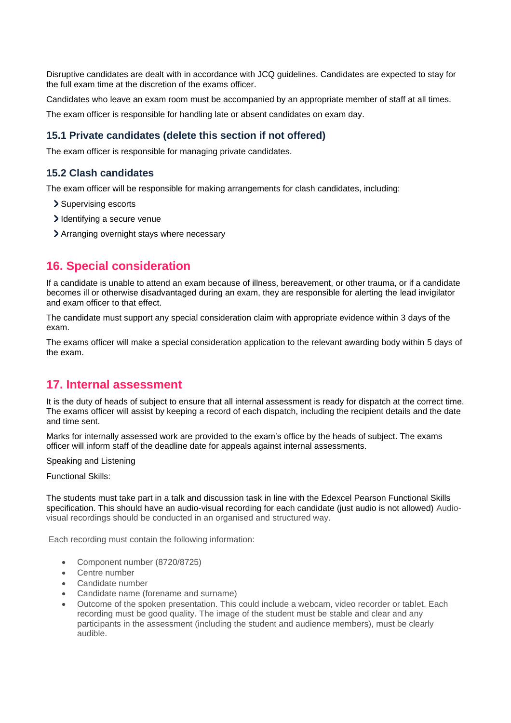Disruptive candidates are dealt with in accordance with JCQ guidelines. Candidates are expected to stay for the full exam time at the discretion of the exams officer.

Candidates who leave an exam room must be accompanied by an appropriate member of staff at all times.

The exam officer is responsible for handling late or absent candidates on exam day.

#### **15.1 Private candidates (delete this section if not offered)**

The exam officer is responsible for managing private candidates.

#### **15.2 Clash candidates**

The exam officer will be responsible for making arrangements for clash candidates, including:

- > Supervising escorts
- Identifying a secure venue
- Arranging overnight stays where necessary

### <span id="page-7-0"></span>**16. Special consideration**

If a candidate is unable to attend an exam because of illness, bereavement, or other trauma, or if a candidate becomes ill or otherwise disadvantaged during an exam, they are responsible for alerting the lead invigilator and exam officer to that effect.

The candidate must support any special consideration claim with appropriate evidence within 3 days of the exam.

The exams officer will make a special consideration application to the relevant awarding body within 5 days of the exam.

### <span id="page-7-1"></span>**17. Internal assessment**

It is the duty of heads of subject to ensure that all internal assessment is ready for dispatch at the correct time. The exams officer will assist by keeping a record of each dispatch, including the recipient details and the date and time sent.

Marks for internally assessed work are provided to the exam's office by the heads of subject. The exams officer will inform staff of the deadline date for appeals against internal assessments.

Speaking and Listening

Functional Skills:

The students must take part in a talk and discussion task in line with the Edexcel Pearson Functional Skills specification. This should have an audio-visual recording for each candidate (just audio is not allowed) Audiovisual recordings should be conducted in an organised and structured way.

Each recording must contain the following information:

- Component number (8720/8725)
- Centre number
- Candidate number
- Candidate name (forename and surname)
- Outcome of the spoken presentation. This could include a webcam, video recorder or tablet. Each recording must be good quality. The image of the student must be stable and clear and any participants in the assessment (including the student and audience members), must be clearly audible.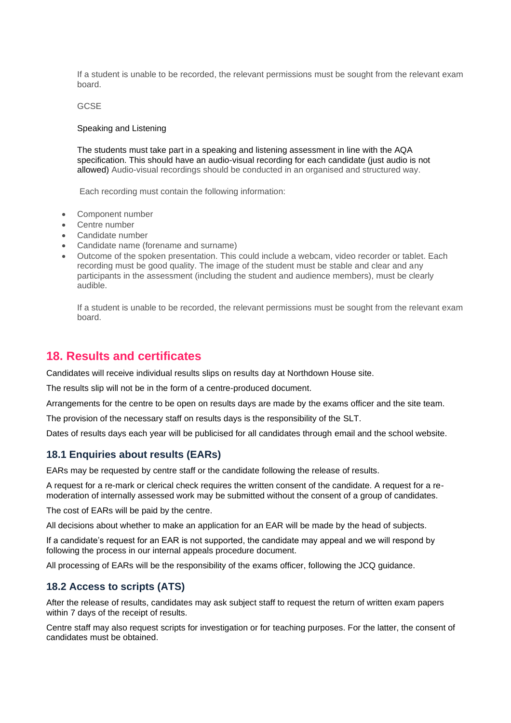If a student is unable to be recorded, the relevant permissions must be sought from the relevant exam board.

#### GCSE

#### Speaking and Listening

The students must take part in a speaking and listening assessment in line with the AQA specification. This should have an audio-visual recording for each candidate (just audio is not allowed) Audio-visual recordings should be conducted in an organised and structured way.

Each recording must contain the following information:

- Component number
- Centre number
- Candidate number
- Candidate name (forename and surname)
- Outcome of the spoken presentation. This could include a webcam, video recorder or tablet. Each recording must be good quality. The image of the student must be stable and clear and any participants in the assessment (including the student and audience members), must be clearly audible.

If a student is unable to be recorded, the relevant permissions must be sought from the relevant exam board.

### <span id="page-8-0"></span>**18. Results and certificates**

Candidates will receive individual results slips on results day at Northdown House site.

The results slip will not be in the form of a centre-produced document.

Arrangements for the centre to be open on results days are made by the exams officer and the site team.

The provision of the necessary staff on results days is the responsibility of the SLT.

Dates of results days each year will be publicised for all candidates through email and the school website.

#### **18.1 Enquiries about results (EARs)**

EARs may be requested by centre staff or the candidate following the release of results.

A request for a re-mark or clerical check requires the written consent of the candidate. A request for a remoderation of internally assessed work may be submitted without the consent of a group of candidates.

The cost of EARs will be paid by the centre.

All decisions about whether to make an application for an EAR will be made by the head of subjects.

If a candidate's request for an EAR is not supported, the candidate may appeal and we will respond by following the process in our internal appeals procedure document.

All processing of EARs will be the responsibility of the exams officer, following the JCQ guidance.

#### **18.2 Access to scripts (ATS)**

After the release of results, candidates may ask subject staff to request the return of written exam papers within 7 days of the receipt of results.

Centre staff may also request scripts for investigation or for teaching purposes. For the latter, the consent of candidates must be obtained.